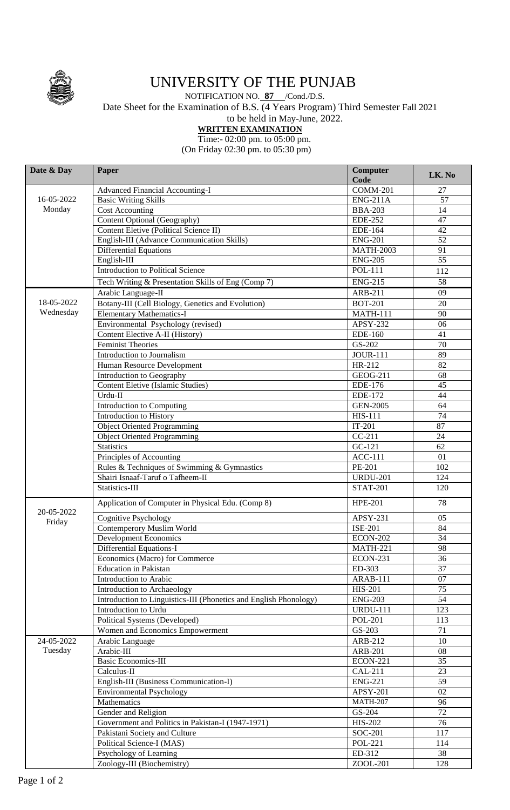

## UNIVERSITY OF THE PUNJAB

## NOTIFICATION NO. **87** /Cond./D.S. Date Sheet for the Examination of B.S. (4 Years Program) Third Semester Fall 2021 to be held in May-June, 2022.

## **WRITTEN EXAMINATION**

Time:- 02:00 pm. to 05:00 pm.

(On Friday 02:30 pm. to 05:30 pm)

| Date & Day           | Paper                                                             | Computer<br>Code      | LK. No          |
|----------------------|-------------------------------------------------------------------|-----------------------|-----------------|
|                      | Advanced Financial Accounting-I                                   | <b>COMM-201</b>       | 27              |
| 16-05-2022<br>Monday | <b>Basic Writing Skills</b>                                       | <b>ENG-211A</b>       | 57              |
|                      | Cost Accounting                                                   | <b>BBA-203</b>        | 14              |
|                      | Content Optional (Geography)                                      | <b>EDE-252</b>        | 47              |
|                      | Content Eletive (Political Science II)                            | EDE-164               | 42              |
|                      | English-III (Advance Communication Skills)                        | <b>ENG-201</b>        | 52              |
|                      | <b>Differential Equations</b>                                     | <b>MATH-2003</b>      | 91              |
|                      | English-III                                                       | <b>ENG-205</b>        | 55              |
|                      | Introduction to Political Science                                 | <b>POL-111</b>        | 112             |
|                      | Tech Writing & Presentation Skills of Eng (Comp 7)                | <b>ENG-215</b>        | 58              |
|                      | Arabic Language-II                                                | ARB-211               | 09              |
| 18-05-2022           | Botany-III (Cell Biology, Genetics and Evolution)                 | <b>BOT-201</b>        | 20              |
| Wednesday            | <b>Elementary Mathematics-I</b>                                   | <b>MATH-111</b>       | 90              |
|                      | Environmental Psychology (revised)                                | APSY-232              | 06              |
|                      | Content Elective A-II (History)                                   | EDE-160               | 41              |
|                      | <b>Feminist Theories</b>                                          | GS-202                | 70              |
|                      | Introduction to Journalism                                        | <b>JOUR-111</b>       | 89              |
|                      | Human Resource Development                                        | HR-212                | 82              |
|                      | Introduction to Geography                                         | GEOG-211              | 68              |
|                      | Content Eletive (Islamic Studies)                                 | $\overline{E}$ DE-176 | 45              |
|                      | Urdu-II                                                           | <b>EDE-172</b>        | 44              |
|                      |                                                                   | <b>GEN-2005</b>       | 64              |
|                      | Introduction to Computing                                         | <b>HIS-111</b>        | 74              |
|                      | Introduction to History                                           |                       |                 |
|                      | <b>Object Oriented Programming</b>                                | $IT-201$              | 87              |
|                      | <b>Object Oriented Programming</b>                                | $CC-211$              | 24              |
|                      | <b>Statistics</b>                                                 | GC-121                | 62              |
|                      | Principles of Accounting                                          | <b>ACC-111</b>        | 01              |
|                      | Rules & Techniques of Swimming & Gymnastics                       | PE-201                | 102             |
|                      | Shairi Isnaaf-Taruf o Tafheem-II                                  | <b>URDU-201</b>       | 124             |
|                      | Statistics-III                                                    | <b>STAT-201</b>       | 120             |
| 20-05-2022           | Application of Computer in Physical Edu. (Comp 8)                 | <b>HPE-201</b>        | 78              |
| Friday               | <b>Cognitive Psychology</b>                                       | APSY-231              | 05              |
|                      | Contemperory Muslim World                                         | <b>ISE-201</b>        | 84              |
|                      | Development Economics                                             | <b>ECON-202</b>       | $\overline{34}$ |
|                      | Differential Equations-I                                          | <b>MATH-221</b>       | 98              |
|                      | Economics (Macro) for Commerce                                    | <b>ECON-231</b>       | 36              |
|                      | <b>Education</b> in Pakistan                                      | ED-303                | 37              |
|                      | Introduction to Arabic                                            | <b>ARAB-111</b>       | 07              |
|                      | Introduction to Archaeology                                       | <b>HIS-201</b>        | 75              |
|                      | Introduction to Linguistics-III (Phonetics and English Phonology) | <b>ENG-203</b>        | 54              |
|                      | Introduction to Urdu                                              | <b>URDU-111</b>       | 123             |
|                      | Political Systems (Developed)                                     | <b>POL-201</b>        | 113             |
|                      | Women and Economics Empowerment                                   | GS-203                | 71              |
| 24-05-2022           | Arabic Language                                                   | ARB-212               | 10              |
| Tuesday              | Arabic-III                                                        | ARB-201               | 08              |
|                      | <b>Basic Economics-III</b>                                        | <b>ECON-221</b>       | $\overline{35}$ |
|                      | Calculus-II                                                       | <b>CAL-211</b>        | 23              |
|                      | English-III (Business Communication-I)                            | <b>ENG-221</b>        | 59              |
|                      | <b>Environmental Psychology</b>                                   | <b>APSY-201</b>       | 02              |
|                      | Mathematics                                                       | <b>MATH-207</b>       | 96              |
|                      | Gender and Religion                                               | GS-204                | $\overline{72}$ |
|                      | Government and Politics in Pakistan-I (1947-1971)                 | HIS-202               | 76              |
|                      | Pakistani Society and Culture                                     |                       | 117             |
|                      |                                                                   | SOC-201               |                 |
|                      | Political Science-I (MAS)                                         | <b>POL-221</b>        | 114             |
|                      | Psychology of Learning                                            | ED-312                | 38              |
|                      | Zoology-III (Biochemistry)                                        | ZOOL-201              | 128             |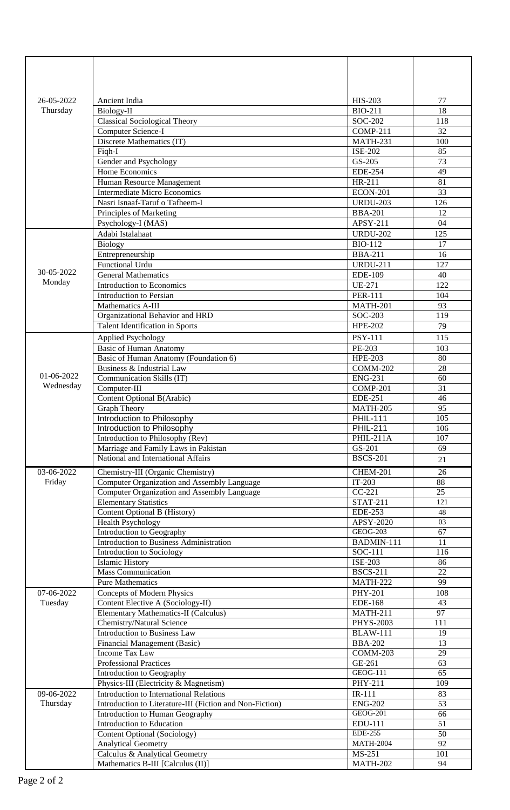| 26-05-2022 | Ancient India                                                                                     | <b>HIS-203</b>                    | 77                    |
|------------|---------------------------------------------------------------------------------------------------|-----------------------------------|-----------------------|
| Thursday   | Biology-II                                                                                        | <b>BIO-211</b>                    | 18                    |
|            | <b>Classical Sociological Theory</b><br>Computer Science-I                                        | SOC-202<br><b>COMP-211</b>        | 118<br>32             |
|            | Discrete Mathematics (IT)                                                                         | <b>MATH-231</b>                   | 100                   |
|            | Figh-I                                                                                            | <b>ISE-202</b>                    | 85                    |
|            | Gender and Psychology                                                                             | GS-205                            | 73                    |
|            | Home Economics                                                                                    | <b>EDE-254</b>                    | 49                    |
|            | Human Resource Management                                                                         | HR-211                            | 81                    |
|            | <b>Intermediate Micro Economics</b>                                                               | <b>ECON-201</b>                   | 33                    |
|            | Nasri Isnaaf-Taruf o Tafheem-I                                                                    | <b>URDU-203</b>                   | 126                   |
|            | Principles of Marketing                                                                           | <b>BBA-201</b>                    | 12                    |
|            | Psychology-I (MAS)                                                                                | APSY-211                          | 04                    |
|            | Adabi Istalahaat                                                                                  | <b>URDU-202</b>                   | 125                   |
|            | <b>Biology</b>                                                                                    | <b>BIO-112</b>                    | 17                    |
|            | Entrepreneurship                                                                                  | <b>BBA-211</b>                    | 16                    |
| 30-05-2022 | Functional Urdu<br><b>General Mathematics</b>                                                     | <b>URDU-211</b>                   | 127                   |
| Monday     | Introduction to Economics                                                                         | <b>EDE-109</b><br><b>UE-271</b>   | 40<br>122             |
|            | Introduction to Persian                                                                           | <b>PER-111</b>                    | 104                   |
|            | Mathematics A-III                                                                                 | <b>MATH-201</b>                   | 93                    |
|            | Organizational Behavior and HRD                                                                   | SOC-203                           | 119                   |
|            | Talent Identification in Sports                                                                   | <b>HPE-202</b>                    | 79                    |
|            | <b>Applied Psychology</b>                                                                         | <b>PSY-111</b>                    | 115                   |
|            | <b>Basic of Human Anatomy</b>                                                                     | PE-203                            | 103                   |
|            | Basic of Human Anatomy (Foundation 6)                                                             | <b>HPE-203</b>                    | 80                    |
|            | Business & Industrial Law                                                                         | <b>COMM-202</b>                   | $\overline{28}$       |
| 01-06-2022 | Communication Skills (IT)                                                                         | <b>ENG-231</b>                    | 60                    |
| Wednesday  | Computer-III                                                                                      | <b>COMP-201</b>                   | 31                    |
|            | Content Optional B(Arabic)                                                                        | <b>EDE-251</b>                    | 46                    |
|            | <b>Graph Theory</b>                                                                               | <b>MATH-205</b>                   | $\overline{95}$       |
|            | Introduction to Philosophy                                                                        | <b>PHIL-111</b>                   | 105                   |
|            | Introduction to Philosophy                                                                        | <b>PHIL-211</b>                   | 106                   |
|            | Introduction to Philosophy (Rev)<br>Marriage and Family Laws in Pakistan                          | $PHIL-211A$<br>GS-201             | 107<br>69             |
|            | National and International Affairs                                                                | <b>BSCS-201</b>                   |                       |
|            |                                                                                                   |                                   | 21                    |
| 03-06-2022 | Chemistry-III (Organic Chemistry)                                                                 | <b>CHEM-201</b><br>$IT-203$       | 26<br>$\overline{88}$ |
| Friday     | Computer Organization and Assembly Language<br><b>Computer Organization and Assembly Language</b> | $CC-221$                          | 25                    |
|            | <b>Elementary Statistics</b>                                                                      | <b>STAT-211</b>                   | 121                   |
|            | Content Optional B (History)                                                                      | <b>EDE-253</b>                    | 48                    |
|            | <b>Health Psychology</b>                                                                          | APSY-2020                         | 03                    |
|            | Introduction to Geography                                                                         | <b>GEOG-203</b>                   | 67                    |
|            | Introduction to Business Administration                                                           | BADMIN-111                        | 11                    |
|            | Introduction to Sociology                                                                         | SOC-111                           | 116                   |
|            | <b>Islamic History</b>                                                                            | <b>ISE-203</b>                    | 86                    |
|            | Mass Communication                                                                                | <b>BSCS-211</b>                   | $\overline{22}$       |
|            | <b>Pure Mathematics</b>                                                                           | <b>MATH-222</b>                   | 99                    |
| 07-06-2022 | <b>Concepts of Modern Physics</b>                                                                 | <b>PHY-201</b>                    | 108<br>43             |
| Tuesday    | Content Elective A (Sociology-II)<br><b>Elementary Mathematics-II (Calculus)</b>                  | <b>EDE-168</b><br><b>MATH-211</b> | 97                    |
|            | Chemistry/Natural Science                                                                         | <b>PHYS-2003</b>                  | 111                   |
|            | Introduction to Business Law                                                                      | <b>BLAW-111</b>                   | 19                    |
|            | Financial Management (Basic)                                                                      | <b>BBA-202</b>                    | 13                    |
|            | <b>Income Tax Law</b>                                                                             | COMM-203                          | 29                    |
|            | <b>Professional Practices</b>                                                                     | GE-261                            | 63                    |
|            | Introduction to Geography                                                                         | <b>GEOG-111</b>                   | 65                    |
|            | Physics-III (Electricity & Magnetism)                                                             | PHY-211                           | 109                   |
| 09-06-2022 | Introduction to International Relations                                                           | IR-111                            | 83                    |
| Thursday   | Introduction to Literature-III (Fiction and Non-Fiction)                                          | <b>ENG-202</b>                    | $\overline{53}$       |
|            | Introduction to Human Geography                                                                   | <b>GEOG-201</b>                   | 66                    |
|            | Introduction to Education                                                                         | EDU-111<br><b>EDE-255</b>         | 51<br>50              |
|            | <b>Content Optional (Sociology)</b><br><b>Analytical Geometry</b>                                 | <b>MATH-2004</b>                  | 92                    |
|            | Calculus & Analytical Geometry                                                                    | MS-251                            | 101                   |
|            | Mathematics B-III [Calculus (II)]                                                                 | <b>MATH-202</b>                   | 94                    |